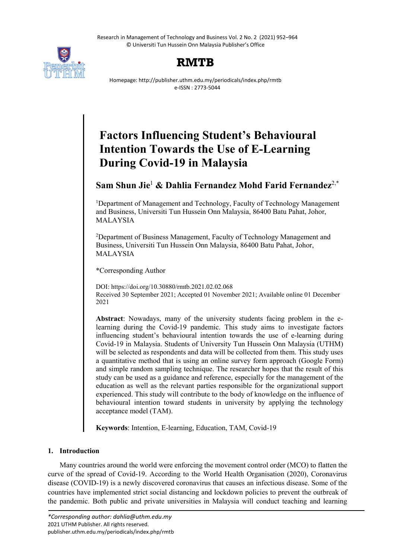Research in Management of Technology and Business Vol. 2 No. 2 (2021) 952–964 © Universiti Tun Hussein Onn Malaysia Publisher's Office





Homepage: http://publisher.uthm.edu.my/periodicals/index.php/rmtb e-ISSN : 2773-5044

# **Factors Influencing Student's Behavioural Intention Towards the Use of E-Learning During Covid-19 in Malaysia**

## **Sam Shun Jie**<sup>1</sup> **& Dahlia Fernandez Mohd Farid Fernandez**2,\*

<sup>1</sup>Department of Management and Technology, Faculty of Technology Management and Business, Universiti Tun Hussein Onn Malaysia, 86400 Batu Pahat, Johor, MALAYSIA

<sup>2</sup>Department of Business Management, Faculty of Technology Management and Business, Universiti Tun Hussein Onn Malaysia, 86400 Batu Pahat, Johor, MALAYSIA

\*Corresponding Author

DOI: https://doi.org/10.30880/rmtb.2021.02.02.068 Received 30 September 2021; Accepted 01 November 2021; Available online 01 December 2021

**Abstract**: Nowadays, many of the university students facing problem in the elearning during the Covid-19 pandemic. This study aims to investigate factors influencing student's behavioural intention towards the use of e-learning during Covid-19 in Malaysia. Students of University Tun Hussein Onn Malaysia (UTHM) will be selected as respondents and data will be collected from them. This study uses a quantitative method that is using an online survey form approach (Google Form) and simple random sampling technique. The researcher hopes that the result of this study can be used as a guidance and reference, especially for the management of the education as well as the relevant parties responsible for the organizational support experienced. This study will contribute to the body of knowledge on the influence of behavioural intention toward students in university by applying the technology acceptance model (TAM).

**Keywords**: Intention, E-learning, Education, TAM, Covid-19

## **1. Introduction**

Many countries around the world were enforcing the movement control order (MCO) to flatten the curve of the spread of Covid-19. According to the World Health Organisation (2020), Coronavirus disease (COVID-19) is a newly discovered coronavirus that causes an infectious disease. Some of the countries have implemented strict social distancing and lockdown policies to prevent the outbreak of the pandemic. Both public and private universities in Malaysia will conduct teaching and learning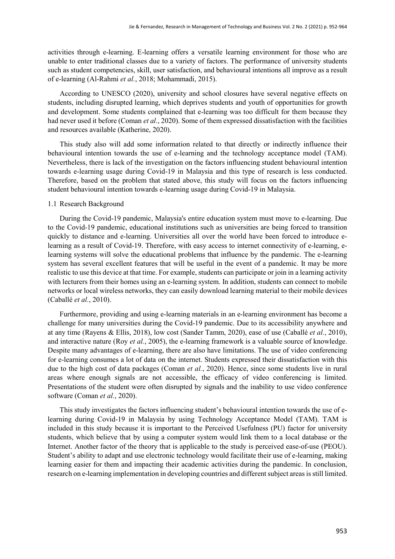activities through e-learning. E-learning offers a versatile learning environment for those who are unable to enter traditional classes due to a variety of factors. The performance of university students such as student competencies, skill, user satisfaction, and behavioural intentions all improve as a result of e-learning (Al-Rahmi *et al.*, 2018; Mohammadi, 2015).

According to UNESCO (2020), university and school closures have several negative effects on students, including disrupted learning, which deprives students and youth of opportunities for growth and development. Some students complained that e-learning was too difficult for them because they had never used it before (Coman *et al.*, 2020). Some of them expressed dissatisfaction with the facilities and resources available (Katherine, 2020).

This study also will add some information related to that directly or indirectly influence their behavioural intention towards the use of e-learning and the technology acceptance model (TAM). Nevertheless, there is lack of the investigation on the factors influencing student behavioural intention towards e-learning usage during Covid-19 in Malaysia and this type of research is less conducted. Therefore, based on the problem that stated above, this study will focus on the factors influencing student behavioural intention towards e-learning usage during Covid-19 in Malaysia.

## 1.1 Research Background

During the Covid-19 pandemic, Malaysia's entire education system must move to e-learning. Due to the Covid-19 pandemic, educational institutions such as universities are being forced to transition quickly to distance and e-learning. Universities all over the world have been forced to introduce elearning as a result of Covid-19. Therefore, with easy access to internet connectivity of e-learning, elearning systems will solve the educational problems that influence by the pandemic. The e-learning system has several excellent features that will be useful in the event of a pandemic. It may be more realistic to use this device at that time. For example, students can participate or join in a learning activity with lecturers from their homes using an e-learning system. In addition, students can connect to mobile networks or local wireless networks, they can easily download learning material to their mobile devices (Caballé *et al.*, 2010).

Furthermore, providing and using e-learning materials in an e-learning environment has become a challenge for many universities during the Covid-19 pandemic. Due to its accessibility anywhere and at any time (Rayens & Ellis, 2018), low cost (Sander Tamm, 2020), ease of use (Caballé *et al.*, 2010), and interactive nature (Roy *et al.*, 2005), the e-learning framework is a valuable source of knowledge. Despite many advantages of e-learning, there are also have limitations. The use of video conferencing for e-learning consumes a lot of data on the internet. Students expressed their dissatisfaction with this due to the high cost of data packages (Coman *et al.*, 2020). Hence, since some students live in rural areas where enough signals are not accessible, the efficacy of video conferencing is limited. Presentations of the student were often disrupted by signals and the inability to use video conference software (Coman *et al.*, 2020).

This study investigates the factors influencing student's behavioural intention towards the use of elearning during Covid-19 in Malaysia by using Technology Acceptance Model (TAM). TAM is included in this study because it is important to the Perceived Usefulness (PU) factor for university students, which believe that by using a computer system would link them to a local database or the Internet. Another factor of the theory that is applicable to the study is perceived ease-of-use (PEOU). Student's ability to adapt and use electronic technology would facilitate their use of e-learning, making learning easier for them and impacting their academic activities during the pandemic. In conclusion, research on e-learning implementation in developing countries and different subject areas is still limited.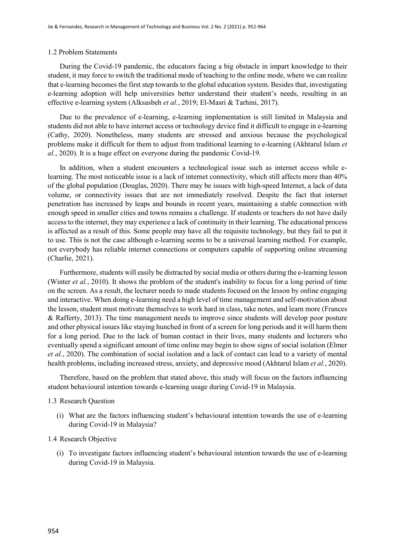#### 1.2 Problem Statements

During the Covid-19 pandemic, the educators facing a big obstacle in impart knowledge to their student, it may force to switch the traditional mode of teaching to the online mode, where we can realize that e-learning becomes the first step towards to the global education system. Besides that, investigating e-learning adoption will help universities better understand their student's needs, resulting in an effective e-learning system (Alksasbeh *et al.*, 2019; El-Masri & Tarhini, 2017).

Due to the prevalence of e-learning, e-learning implementation is still limited in Malaysia and students did not able to have internet access or technology device find it difficult to engage in e-learning (Cathy, 2020). Nonetheless, many students are stressed and anxious because the psychological problems make it difficult for them to adjust from traditional learning to e-learning (Akhtarul Islam *et al.*, 2020). It is a huge effect on everyone during the pandemic Covid-19.

In addition, when a student encounters a technological issue such as internet access while elearning. The most noticeable issue is a lack of internet connectivity, which still affects more than 40% of the global population (Douglas, 2020). There may be issues with high-speed Internet, a lack of data volume, or connectivity issues that are not immediately resolved. Despite the fact that internet penetration has increased by leaps and bounds in recent years, maintaining a stable connection with enough speed in smaller cities and towns remains a challenge. If students or teachers do not have daily access to the internet, they may experience a lack of continuity in their learning. The educational process is affected as a result of this. Some people may have all the requisite technology, but they fail to put it to use. This is not the case although e-learning seems to be a universal learning method. For example, not everybody has reliable internet connections or computers capable of supporting online streaming (Charlie, 2021).

Furthermore, students will easily be distracted by social media or others during the e-learning lesson (Winter *et al.*, 2010). It shows the problem of the student's inability to focus for a long period of time on the screen. As a result, the lecturer needs to made students focused on the lesson by online engaging and interactive. When doing e-learning need a high level of time management and self-motivation about the lesson, student must motivate themselves to work hard in class, take notes, and learn more (Frances & Rafferty, 2013). The time management needs to improve since students will develop poor posture and other physical issues like staying hunched in front of a screen for long periods and it will harm them for a long period. Due to the lack of human contact in their lives, many students and lecturers who eventually spend a significant amount of time online may begin to show signs of social isolation (Elmer *et al.*, 2020). The combination of social isolation and a lack of contact can lead to a variety of mental health problems, including increased stress, anxiety, and depressive mood (Akhtarul Islam *et al.*, 2020).

Therefore, based on the problem that stated above, this study will focus on the factors influencing student behavioural intention towards e-learning usage during Covid-19 in Malaysia.

#### 1.3 Research Question

(i) What are the factors influencing student's behavioural intention towards the use of e-learning during Covid-19 in Malaysia?

## 1.4 Research Objective

(i) To investigate factors influencing student's behavioural intention towards the use of e-learning during Covid-19 in Malaysia.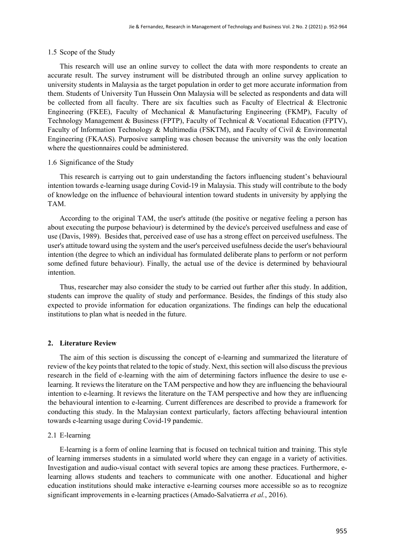## 1.5 Scope of the Study

This research will use an online survey to collect the data with more respondents to create an accurate result. The survey instrument will be distributed through an online survey application to university students in Malaysia as the target population in order to get more accurate information from them. Students of University Tun Hussein Onn Malaysia will be selected as respondents and data will be collected from all faculty. There are six faculties such as Faculty of Electrical & Electronic Engineering (FKEE), Faculty of Mechanical & Manufacturing Engineering (FKMP), Faculty of Technology Management & Business (FPTP), Faculty of Technical & Vocational Education (FPTV), Faculty of Information Technology & Multimedia (FSKTM), and Faculty of Civil & Environmental Engineering (FKAAS). Purposive sampling was chosen because the university was the only location where the questionnaires could be administered.

## 1.6 Significance of the Study

This research is carrying out to gain understanding the factors influencing student's behavioural intention towards e-learning usage during Covid-19 in Malaysia. This study will contribute to the body of knowledge on the influence of behavioural intention toward students in university by applying the TAM.

According to the original TAM, the user's attitude (the positive or negative feeling a person has about executing the purpose behaviour) is determined by the device's perceived usefulness and ease of use (Davis, 1989). Besides that, perceived ease of use has a strong effect on perceived usefulness. The user's attitude toward using the system and the user's perceived usefulness decide the user's behavioural intention (the degree to which an individual has formulated deliberate plans to perform or not perform some defined future behaviour). Finally, the actual use of the device is determined by behavioural intention.

Thus, researcher may also consider the study to be carried out further after this study. In addition, students can improve the quality of study and performance. Besides, the findings of this study also expected to provide information for education organizations. The findings can help the educational institutions to plan what is needed in the future.

## **2. Literature Review**

The aim of this section is discussing the concept of e-learning and summarized the literature of review of the key points that related to the topic of study. Next, this section will also discuss the previous research in the field of e-learning with the aim of determining factors influence the desire to use elearning. It reviews the literature on the TAM perspective and how they are influencing the behavioural intention to e-learning. It reviews the literature on the TAM perspective and how they are influencing the behavioural intention to e-learning. Current differences are described to provide a framework for conducting this study. In the Malaysian context particularly, factors affecting behavioural intention towards e-learning usage during Covid-19 pandemic.

#### 2.1 E-learning

E-learning is a form of online learning that is focused on technical tuition and training. This style of learning immerses students in a simulated world where they can engage in a variety of activities. Investigation and audio-visual contact with several topics are among these practices. Furthermore, elearning allows students and teachers to communicate with one another. Educational and higher education institutions should make interactive e-learning courses more accessible so as to recognize significant improvements in e-learning practices (Amado-Salvatierra *et al.*, 2016).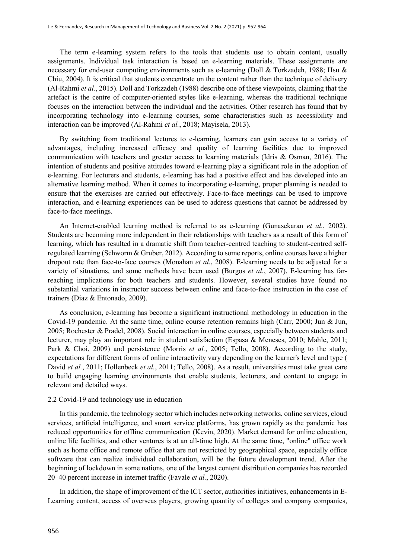The term e-learning system refers to the tools that students use to obtain content, usually assignments. Individual task interaction is based on e-learning materials. These assignments are necessary for end-user computing environments such as e-learning (Doll & Torkzadeh, 1988; Hsu & Chiu, 2004). It is critical that students concentrate on the content rather than the technique of delivery (Al-Rahmi *et al.*, 2015). Doll and Torkzadeh (1988) describe one of these viewpoints, claiming that the artefact is the centre of computer-oriented styles like e-learning, whereas the traditional technique focuses on the interaction between the individual and the activities. Other research has found that by incorporating technology into e-learning courses, some characteristics such as accessibility and interaction can be improved (Al-Rahmi *et al.*, 2018; Mayisela, 2013).

By switching from traditional lectures to e-learning, learners can gain access to a variety of advantages, including increased efficacy and quality of learning facilities due to improved communication with teachers and greater access to learning materials (Idris & Osman, 2016). The intention of students and positive attitudes toward e-learning play a significant role in the adoption of e-learning. For lecturers and students, e-learning has had a positive effect and has developed into an alternative learning method. When it comes to incorporating e-learning, proper planning is needed to ensure that the exercises are carried out effectively. Face-to-face meetings can be used to improve interaction, and e-learning experiences can be used to address questions that cannot be addressed by face-to-face meetings.

An Internet-enabled learning method is referred to as e-learning (Gunasekaran *et al.*, 2002). Students are becoming more independent in their relationships with teachers as a result of this form of learning, which has resulted in a dramatic shift from teacher-centred teaching to student-centred selfregulated learning (Schworm & Gruber, 2012). According to some reports, online courses have a higher dropout rate than face-to-face courses (Monahan *et al.*, 2008). E-learning needs to be adjusted for a variety of situations, and some methods have been used (Burgos *et al.*, 2007). E-learning has farreaching implications for both teachers and students. However, several studies have found no substantial variations in instructor success between online and face-to-face instruction in the case of trainers (Diaz & Entonado, 2009).

As conclusion, e-learning has become a significant instructional methodology in education in the Covid-19 pandemic. At the same time, online course retention remains high (Carr, 2000; Jun & Jun, 2005; Rochester & Pradel, 2008). Social interaction in online courses, especially between students and lecturer, may play an important role in student satisfaction (Espasa & Meneses, 2010; Mahle, 2011; Park & Choi, 2009) and persistence (Morris *et al.*, 2005; Tello, 2008). According to the study, expectations for different forms of online interactivity vary depending on the learner's level and type ( David *et al.*, 2011; Hollenbeck *et al.*, 2011; Tello, 2008). As a result, universities must take great care to build engaging learning environments that enable students, lecturers, and content to engage in relevant and detailed ways.

## 2.2 Covid-19 and technology use in education

In this pandemic, the technology sector which includes networking networks, online services, cloud services, artificial intelligence, and smart service platforms, has grown rapidly as the pandemic has reduced opportunities for offline communication (Kevin, 2020). Market demand for online education, online life facilities, and other ventures is at an all-time high. At the same time, "online" office work such as home office and remote office that are not restricted by geographical space, especially office software that can realize individual collaboration, will be the future development trend. After the beginning of lockdown in some nations, one of the largest content distribution companies has recorded 20–40 percent increase in internet traffic (Favale *et al.*, 2020).

In addition, the shape of improvement of the ICT sector, authorities initiatives, enhancements in E-Learning content, access of overseas players, growing quantity of colleges and company companies,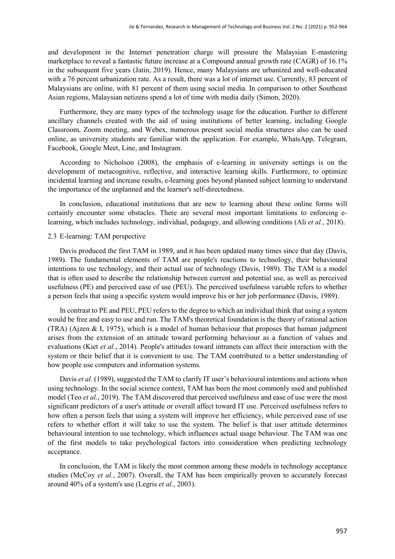and development in the Internet penetration charge will pressure the Malaysian E-mastering marketplace to reveal a fantastic future increase at a Compound annual growth rate (CAGR) of 16.1% in the subsequent five years (Jatin, 2019). Hence, many Malaysians are urbanized and well-educated with a 76 percent urbanization rate. As a result, there was a lot of internet use. Currently, 83 percent of Malaysians are online, with 81 percent of them using social media. In comparison to other Southeast Asian regions, Malaysian netizens spend a lot of time with media daily (Simon, 2020).

Furthermore, they are many types of the technology usage for the education. Further to different ancillary channels created with the aid of using institutions of better learning, including Google Classroom, Zoom meeting, and Webex, numerous present social media structures also can be used online, as university students are familiar with the application. For example, WhatsApp, Telegram, Facebook, Google Meet, Line, and Instagram.

According to Nicholson (2008), the emphasis of e-learning in university settings is on the development of metacognitive, reflective, and interactive learning skills. Furthermore, to optimize incidental learning and increase results, e-learning goes beyond planned subject learning to understand the importance of the unplanned and the learner's self-directedness.

In conclusion, educational institutions that are new to learning about these online forms will certainly encounter some obstacles. There are several most important limitations to enforcing elearning, which includes technology, individual, pedagogy, and allowing conditions (Ali *et al.*, 2018).

## 2.3 E-learning: TAM perspective

Davis produced the first TAM in 1989, and it has been updated many times since that day (Davis, 1989). The fundamental elements of TAM are people's reactions to technology, their behavioural intentions to use technology, and their actual use of technology (Davis, 1989). The TAM is a model that is often used to describe the relationship between current and potential use, as well as perceived usefulness (PE) and perceived ease of use (PEU). The perceived usefulness variable refers to whether a person feels that using a specific system would improve his or her job performance (Davis, 1989).

In contrast to PE and PEU, PEU refers to the degree to which an individual think that using a system would be free and easy to use and run. The TAM's theoretical foundation is the theory of rational action (TRA) (Ajzen & I, 1975), which is a model of human behaviour that proposes that human judgment arises from the extension of an attitude toward performing behaviour as a function of values and evaluations (Kiet *et al.*, 2014). People's attitudes toward intranets can affect their interaction with the system or their belief that it is convenient to use. The TAM contributed to a better understanding of how people use computers and information systems.

Davis *et al.* (1989), suggested the TAM to clarify IT user's behavioural intentions and actions when using technology. In the social science context, TAM has been the most commonly used and published model (Teo *et al.*, 2019). The TAM discovered that perceived usefulness and ease of use were the most significant predictors of a user's attitude or overall affect toward IT use. Perceived usefulness refers to how often a person feels that using a system will improve her efficiency, while perceived ease of use refers to whether effort it will take to use the system. The belief is that user attitude determines behavioural intention to use technology, which influences actual usage behaviour. The TAM was one of the first models to take psychological factors into consideration when predicting technology acceptance.

In conclusion, the TAM is likely the most common among these models in technology acceptance studies (McCoy *et al.*, 2007). Overall, the TAM has been empirically proven to accurately forecast around 40% of a system's use (Legris *et al.*, 2003).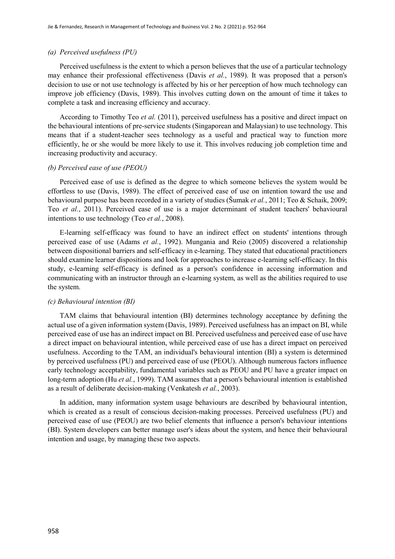#### *(a) Perceived usefulness (PU)*

Perceived usefulness is the extent to which a person believes that the use of a particular technology may enhance their professional effectiveness (Davis *et al.*, 1989). It was proposed that a person's decision to use or not use technology is affected by his or her perception of how much technology can improve job efficiency (Davis, 1989). This involves cutting down on the amount of time it takes to complete a task and increasing efficiency and accuracy.

According to Timothy Teo *et al.* (2011), perceived usefulness has a positive and direct impact on the behavioural intentions of pre-service students (Singaporean and Malaysian) to use technology. This means that if a student-teacher sees technology as a useful and practical way to function more efficiently, he or she would be more likely to use it. This involves reducing job completion time and increasing productivity and accuracy.

## *(b) Perceived ease of use (PEOU)*

Perceived ease of use is defined as the degree to which someone believes the system would be effortless to use (Davis, 1989). The effect of perceived ease of use on intention toward the use and behavioural purpose has been recorded in a variety of studies (Šumak *et al.*, 2011; Teo & Schaik, 2009; Teo *et al.*, 2011). Perceived ease of use is a major determinant of student teachers' behavioural intentions to use technology (Teo *et al.*, 2008).

E-learning self-efficacy was found to have an indirect effect on students' intentions through perceived ease of use (Adams *et al.*, 1992). Mungania and Reio (2005) discovered a relationship between dispositional barriers and self-efficacy in e-learning. They stated that educational practitioners should examine learner dispositions and look for approaches to increase e-learning self-efficacy. In this study, e-learning self-efficacy is defined as a person's confidence in accessing information and communicating with an instructor through an e-learning system, as well as the abilities required to use the system.

## *(c) Behavioural intention (BI)*

TAM claims that behavioural intention (BI) determines technology acceptance by defining the actual use of a given information system (Davis, 1989). Perceived usefulness has an impact on BI, while perceived ease of use has an indirect impact on BI. Perceived usefulness and perceived ease of use have a direct impact on behavioural intention, while perceived ease of use has a direct impact on perceived usefulness. According to the TAM, an individual's behavioural intention (BI) a system is determined by perceived usefulness (PU) and perceived ease of use (PEOU). Although numerous factors influence early technology acceptability, fundamental variables such as PEOU and PU have a greater impact on long-term adoption (Hu *et al.*, 1999). TAM assumes that a person's behavioural intention is established as a result of deliberate decision-making (Venkatesh *et al.*, 2003).

In addition, many information system usage behaviours are described by behavioural intention, which is created as a result of conscious decision-making processes. Perceived usefulness (PU) and perceived ease of use (PEOU) are two belief elements that influence a person's behaviour intentions (BI). System developers can better manage user's ideas about the system, and hence their behavioural intention and usage, by managing these two aspects.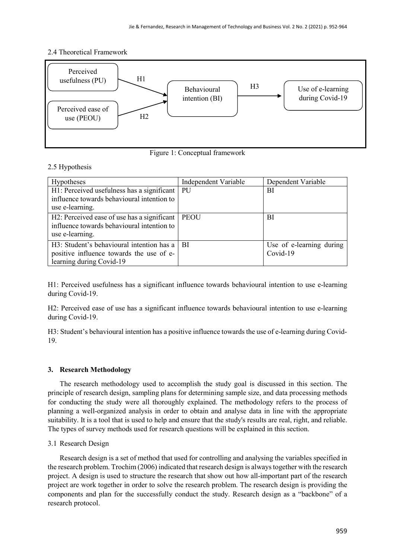## 2.4 Theoretical Framework



Figure 1: Conceptual framework

## 2.5 Hypothesis

| <b>Hypotheses</b>                                                                                                 | Independent Variable | Dependent Variable                   |
|-------------------------------------------------------------------------------------------------------------------|----------------------|--------------------------------------|
| H1: Perceived usefulness has a significant   PU<br>influence towards behavioural intention to<br>use e-learning.  |                      | BI                                   |
| H2: Perceived ease of use has a significant<br>influence towards behavioural intention to<br>use e-learning.      | <b>PEOU</b>          | BI                                   |
| H3: Student's behavioural intention has a<br>positive influence towards the use of e-<br>learning during Covid-19 | l BI                 | Use of e-learning during<br>Covid-19 |

H1: Perceived usefulness has a significant influence towards behavioural intention to use e-learning during Covid-19.

H2: Perceived ease of use has a significant influence towards behavioural intention to use e-learning during Covid-19.

H3: Student's behavioural intention has a positive influence towards the use of e-learning during Covid-19.

## **3. Research Methodology**

The research methodology used to accomplish the study goal is discussed in this section. The principle of research design, sampling plans for determining sample size, and data processing methods for conducting the study were all thoroughly explained. The methodology refers to the process of planning a well-organized analysis in order to obtain and analyse data in line with the appropriate suitability. It is a tool that is used to help and ensure that the study's results are real, right, and reliable. The types of survey methods used for research questions will be explained in this section.

## 3.1 Research Design

Research design is a set of method that used for controlling and analysing the variables specified in the research problem. Trochim (2006) indicated that research design is always together with the research project. A design is used to structure the research that show out how all-important part of the research project are work together in order to solve the research problem. The research design is providing the components and plan for the successfully conduct the study. Research design as a "backbone" of a research protocol.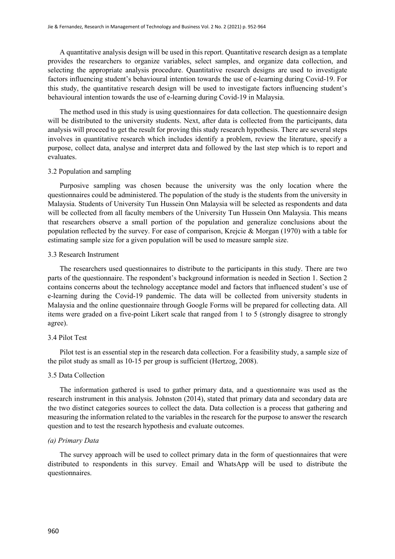A quantitative analysis design will be used in this report. Quantitative research design as a template provides the researchers to organize variables, select samples, and organize data collection, and selecting the appropriate analysis procedure. Quantitative research designs are used to investigate factors influencing student's behavioural intention towards the use of e-learning during Covid-19. For this study, the quantitative research design will be used to investigate factors influencing student's behavioural intention towards the use of e-learning during Covid-19 in Malaysia.

The method used in this study is using questionnaires for data collection. The questionnaire design will be distributed to the university students. Next, after data is collected from the participants, data analysis will proceed to get the result for proving this study research hypothesis. There are several steps involves in quantitative research which includes identify a problem, review the literature, specify a purpose, collect data, analyse and interpret data and followed by the last step which is to report and evaluates.

## 3.2 Population and sampling

Purposive sampling was chosen because the university was the only location where the questionnaires could be administered. The population of the study is the students from the university in Malaysia. Students of University Tun Hussein Onn Malaysia will be selected as respondents and data will be collected from all faculty members of the University Tun Hussein Onn Malaysia. This means that researchers observe a small portion of the population and generalize conclusions about the population reflected by the survey. For ease of comparison, Krejcie & Morgan (1970) with a table for estimating sample size for a given population will be used to measure sample size.

## 3.3 Research Instrument

The researchers used questionnaires to distribute to the participants in this study. There are two parts of the questionnaire. The respondent's background information is needed in Section 1. Section 2 contains concerns about the technology acceptance model and factors that influenced student's use of e-learning during the Covid-19 pandemic. The data will be collected from university students in Malaysia and the online questionnaire through Google Forms will be prepared for collecting data. All items were graded on a five-point Likert scale that ranged from 1 to 5 (strongly disagree to strongly agree).

## 3.4 Pilot Test

Pilot test is an essential step in the research data collection. For a feasibility study, a sample size of the pilot study as small as 10-15 per group is sufficient (Hertzog, 2008).

## 3.5 Data Collection

The information gathered is used to gather primary data, and a questionnaire was used as the research instrument in this analysis. Johnston (2014), stated that primary data and secondary data are the two distinct categories sources to collect the data. Data collection is a process that gathering and measuring the information related to the variables in the research for the purpose to answer the research question and to test the research hypothesis and evaluate outcomes.

## *(a) Primary Data*

The survey approach will be used to collect primary data in the form of questionnaires that were distributed to respondents in this survey. Email and WhatsApp will be used to distribute the questionnaires.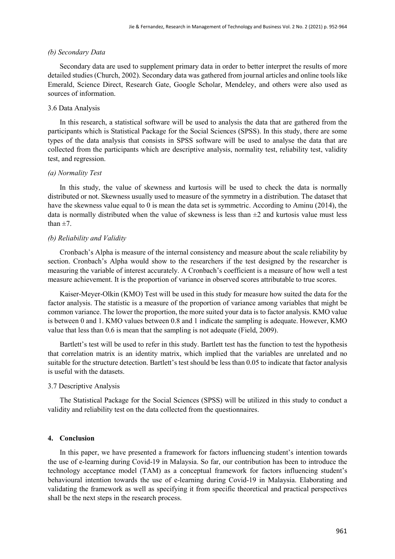#### *(b) Secondary Data*

Secondary data are used to supplement primary data in order to better interpret the results of more detailed studies (Church, 2002). Secondary data was gathered from journal articles and online tools like Emerald, Science Direct, Research Gate, Google Scholar, Mendeley, and others were also used as sources of information.

## 3.6 Data Analysis

In this research, a statistical software will be used to analysis the data that are gathered from the participants which is Statistical Package for the Social Sciences (SPSS). In this study, there are some types of the data analysis that consists in SPSS software will be used to analyse the data that are collected from the participants which are descriptive analysis, normality test, reliability test, validity test, and regression.

#### *(a) Normality Test*

In this study, the value of skewness and kurtosis will be used to check the data is normally distributed or not. Skewness usually used to measure of the symmetry in a distribution. The dataset that have the skewness value equal to 0 is mean the data set is symmetric. According to Aminu (2014), the data is normally distributed when the value of skewness is less than  $\pm 2$  and kurtosis value must less than  $\pm 7$ .

## *(b) Reliability and Validity*

Cronbach's Alpha is measure of the internal consistency and measure about the scale reliability by section. Cronbach's Alpha would show to the researchers if the test designed by the researcher is measuring the variable of interest accurately. A Cronbach's coefficient is a measure of how well a test measure achievement. It is the proportion of variance in observed scores attributable to true scores.

Kaiser-Meyer-Olkin (KMO) Test will be used in this study for measure how suited the data for the factor analysis. The statistic is a measure of the proportion of variance among variables that might be common variance. The lower the proportion, the more suited your data is to factor analysis. KMO value is between 0 and 1. KMO values between 0.8 and 1 indicate the sampling is adequate. However, KMO value that less than 0.6 is mean that the sampling is not adequate (Field, 2009).

Bartlett's test will be used to refer in this study. Bartlett test has the function to test the hypothesis that correlation matrix is an identity matrix, which implied that the variables are unrelated and no suitable for the structure detection. Bartlett's test should be less than 0.05 to indicate that factor analysis is useful with the datasets.

## 3.7 Descriptive Analysis

The Statistical Package for the Social Sciences (SPSS) will be utilized in this study to conduct a validity and reliability test on the data collected from the questionnaires.

## **4. Conclusion**

In this paper, we have presented a framework for factors influencing student's intention towards the use of e-learning during Covid-19 in Malaysia. So far, our contribution has been to introduce the technology acceptance model (TAM) as a conceptual framework for factors influencing student's behavioural intention towards the use of e-learning during Covid-19 in Malaysia. Elaborating and validating the framework as well as specifying it from specific theoretical and practical perspectives shall be the next steps in the research process.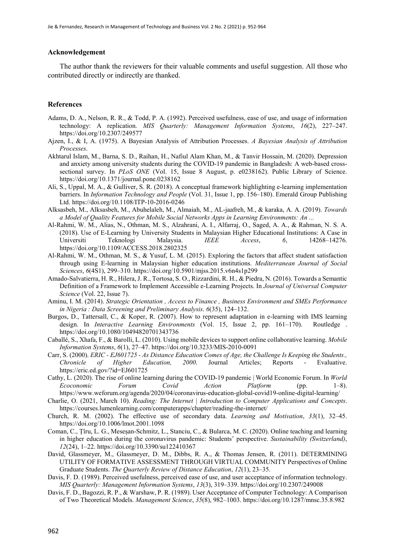## **Acknowledgement**

The author thank the reviewers for their valuable comments and useful suggestion. All those who contributed directly or indirectly are thanked.

#### **References**

- Adams, D. A., Nelson, R. R., & Todd, P. A. (1992). Perceived usefulness, ease of use, and usage of information technology: A replication. *MIS Quarterly: Management Information Systems*, *16*(2), 227–247. https://doi.org/10.2307/249577
- Ajzen, I., & I, A. (1975). A Bayesian Analysis of Attribution Processes. *A Bayesian Analysis of Attribution Processes*.
- Akhtarul Islam, M., Barna, S. D., Raihan, H., Nafiul Alam Khan, M., & Tanvir Hossain, M. (2020). Depression and anxiety among university students during the COVID-19 pandemic in Bangladesh: A web-based crosssectional survey. In *PLoS ONE* (Vol. 15, Issue 8 August, p. e0238162). Public Library of Science. https://doi.org/10.1371/journal.pone.0238162
- Ali, S., Uppal, M. A., & Gulliver, S. R. (2018). A conceptual framework highlighting e-learning implementation barriers. In *Information Technology and People* (Vol. 31, Issue 1, pp. 156–180). Emerald Group Publishing Ltd. https://doi.org/10.1108/ITP-10-2016-0246
- Alksasbeh, M., Alksasbeh, M., Abuhelaleh, M., Almaiah, M., AL-jaafreh, M., & karaka, A. A. (2019). *Towards a Model of Quality Features for Mobile Social Networks Apps in Learning Environments: An ...*
- Al-Rahmi, W. M., Alias, N., Othman, M. S., Alzahrani, A. I., Alfarraj, O., Saged, A. A., & Rahman, N. S. A. (2018). Use of E-Learning by University Students in Malaysian Higher Educational Institutions: A Case in Universiti Teknologi Malaysia. *IEEE Access*, *6*, 14268–14276. https://doi.org/10.1109/ACCESS.2018.2802325
- Al-Rahmi, W. M., Othman, M. S., & Yusuf, L. M. (2015). Exploring the factors that affect student satisfaction through using E-learning in Malaysian higher education institutions. *Mediterranean Journal of Social Sciences*, *6*(4S1), 299–310. https://doi.org/10.5901/mjss.2015.v6n4s1p299
- Amado-Salvatierra, H. R., Hilera, J. R., Tortosa, S. O., Rizzardini, R. H., & Piedra, N. (2016). Towards a Semantic Definition of a Framework to Implement Accessible e-Learning Projects. In *Journal of Universal Computer Science* (Vol. 22, Issue 7).
- Aminu, I. M. (2014). *Strategic Orientation , Access to Finance , Business Environment and SMEs Performance in Nigeria : Data Screening and Preliminary Analysis*. *6*(35), 124–132.
- Burgos, D., Tattersall, C., & Koper, R. (2007). How to represent adaptation in e-learning with IMS learning design. In *Interactive Learning Environments* (Vol. 15, Issue 2, pp. 161–170). Routledge . https://doi.org/10.1080/10494820701343736
- Caballé, S., Xhafa, F., & Barolli, L. (2010). Using mobile devices to support online collaborative learning. *Mobile Information Systems*, *6*(1), 27–47. https://doi.org/10.3233/MIS-2010-0091
- Carr, S. (2000). *ERIC - EJ601725 - As Distance Education Comes of Age, the Challenge Is Keeping the Students., Chronicle of Higher Education, 2000*. Journal Articles; Reports - Evaluative. https://eric.ed.gov/?id=EJ601725
- Cathy, L. (2020). The rise of online learning during the COVID-19 pandemic | World Economic Forum. In *World Ecoconomic Forum Covid Action Platform* (pp. 1–8). https://www.weforum.org/agenda/2020/04/coronavirus-education-global-covid19-online-digital-learning/
- Charlie, O. (2021, March 10). *Reading: The Internet | Introduction to Computer Applications and Concepts*. https://courses.lumenlearning.com/computerapps/chapter/reading-the-internet/
- Church, R. M. (2002). The effective use of secondary data. *Learning and Motivation*, *33*(1), 32–45. https://doi.org/10.1006/lmot.2001.1098
- Coman, C., Țîru, L. G., Meseșan-Schmitz, L., Stanciu, C., & Bularca, M. C. (2020). Online teaching and learning in higher education during the coronavirus pandemic: Students' perspective. *Sustainability (Switzerland)*, *12*(24), 1–22. https://doi.org/10.3390/su122410367
- David, Glassmeyer, M., Glassmeyer, D. M., Dibbs, R. A., & Thomas Jensen, R. (2011). DETERMINING UTILITY OF FORMATIVE ASSESSMENT THROUGH VIRTUAL COMMUNITY Perspectives of Online Graduate Students. *The Quarterly Review of Distance Education*, *12*(1), 23–35.
- Davis, F. D. (1989). Perceived usefulness, perceived ease of use, and user acceptance of information technology. *MIS Quarterly: Management Information Systems*, *13*(3), 319–339. https://doi.org/10.2307/249008
- Davis, F. D., Bagozzi, R. P., & Warshaw, P. R. (1989). User Acceptance of Computer Technology: A Comparison of Two Theoretical Models. *Management Science*, *35*(8), 982–1003. https://doi.org/10.1287/mnsc.35.8.982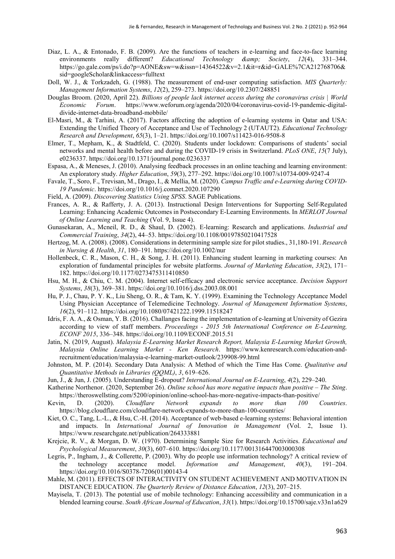- Diaz, L. A., & Entonado, F. B. (2009). Are the functions of teachers in e-learning and face-to-face learning environments really different? *Educational Technology & amp*; *Society*, 12(4), 331-344. https://go.gale.com/ps/i.do?p=AONE&sw=w&issn=14364522&v=2.1&it=r&id=GALE%7CA212768706& sid=googleScholar&linkaccess=fulltext
- Doll, W. J., & Torkzadeh, G. (1988). The measurement of end-user computing satisfaction. *MIS Quarterly: Management Information Systems*, *12*(2), 259–273. https://doi.org/10.2307/248851
- Douglas Broom. (2020, April 22). *Billions of people lack internet access during the coronavirus crisis | World Economic Forum*. https://www.weforum.org/agenda/2020/04/coronavirus-covid-19-pandemic-digitaldivide-internet-data-broadband-mobbile/
- El-Masri, M., & Tarhini, A. (2017). Factors affecting the adoption of e-learning systems in Qatar and USA: Extending the Unified Theory of Acceptance and Use of Technology 2 (UTAUT2). *Educational Technology Research and Development*, *65*(3), 1–21. https://doi.org/10.1007/s11423-016-9508-8
- Elmer, T., Mepham, K., & Stadtfeld, C. (2020). Students under lockdown: Comparisons of students' social networks and mental health before and during the COVID-19 crisis in Switzerland. *PLoS ONE*, *15*(7 July), e0236337. https://doi.org/10.1371/journal.pone.0236337
- Espasa, A., & Meneses, J. (2010). Analysing feedback processes in an online teaching and learning environment: An exploratory study. *Higher Education*, *59*(3), 277–292. https://doi.org/10.1007/s10734-009-9247-4
- Favale, T., Soro, F., Trevisan, M., Drago, I., & Mellia, M. (2020). *Campus Traffic and e-Learning during COVID-19 Pandemic*. https://doi.org/10.1016/j.comnet.2020.107290
- Field, A. (2009). *Discovering Statistics Using SPSS*. SAGE Publications.
- Frances, A. R., & Rafferty, J. A. (2013). Instructional Design Interventions for Supporting Self-Regulated Learning: Enhancing Academic Outcomes in Postsecondary E-Learning Environments. In *MERLOT Journal of Online Learning and Teaching* (Vol. 9, Issue 4).
- Gunasekaran, A., Mcneil, R. D., & Shaul, D. (2002). E-learning: Research and applications. *Industrial and Commercial Training*, *34*(2), 44–53. https://doi.org/10.1108/00197850210417528
- Hertzog, M. A. (2008). (2008). Considerations in determining sample size for pilot studies., 31,180-191. *Research in Nursing & Health*, *31*, 180–191. https://doi.org/10.1002/nur
- Hollenbeck, C. R., Mason, C. H., & Song, J. H. (2011). Enhancing student learning in marketing courses: An exploration of fundamental principles for website platforms. *Journal of Marketing Education*, *33*(2), 171– 182. https://doi.org/10.1177/0273475311410850
- Hsu, M. H., & Chiu, C. M. (2004). Internet self-efficacy and electronic service acceptance. *Decision Support Systems*, *38*(3), 369–381. https://doi.org/10.1016/j.dss.2003.08.001
- Hu, P. J., Chau, P. Y. K., Liu Sheng, O. R., & Tam, K. Y. (1999). Examining the Technology Acceptance Model Using Physician Acceptance of Telemedicine Technology. *Journal of Management Information Systems*, *16*(2), 91–112. https://doi.org/10.1080/07421222.1999.11518247
- Idris, F. A. A., & Osman, Y. B. (2016). Challanges facing the implementation of e-learning at University of Gezira according to view of staff members. *Proceedings - 2015 5th International Conference on E-Learning, ECONF 2015*, 336–348. https://doi.org/10.1109/ECONF.2015.51
- Jatin, N. (2019, August). *Malaysia E-Learning Market Research Report, Malaysia E-Learning Market Growth, Malaysia Online Learning Market - Ken Research*. https://www.kenresearch.com/education-andrecruitment/education/malaysia-e-learning-market-outlook/239908-99.html
- Johnston, M. P. (2014). Secondary Data Analysis: A Method of which the Time Has Come. *Qualitative and Quantitative Methods in Libraries (QQML)*, *3*, 619–626.
- Jun, J., & Jun, J. (2005). Understanding E-dropout? *International Journal on E-Learning*, *4*(2), 229–240.
- Katherine Northenor. (2020, September 26). *Online school has more negative impacts than positive – The Sting*. https://theroswellsting.com/5200/opinion/online-school-has-more-negative-impacts-than-positive/
- Kevin, D. (2020). *Cloudflare Network expands to more than 100 Countries*. https://blog.cloudflare.com/cloudflare-network-expands-to-more-than-100-countries/
- Kiet, O. C., Tang, L.-L., & Hsu, C.-H. (2014). Acceptance of web-based e-learning systems: Behavioral intention and impacts. In *International Journal of Innovation in Management* (Vol. 2, Issue 1). https://www.researchgate.net/publication/264333881
- Krejcie, R. V., & Morgan, D. W. (1970). Determining Sample Size for Research Activities. *Educational and Psychological Measurement*, *30*(3), 607–610. https://doi.org/10.1177/001316447003000308
- Legris, P., Ingham, J., & Collerette, P. (2003). Why do people use information technology? A critical review of the technology acceptance model. *Information and Management*, *40*(3), 191–204. https://doi.org/10.1016/S0378-7206(01)00143-4
- Mahle, M. (2011). EFFECTS OF INTERACTIVITY ON STUDENT ACHIEVEMENT AND MOTIVATION IN DISTANCE EDUCATION. *The Quarterly Review of Distance Education*, *12*(3), 207–215.
- Mayisela, T. (2013). The potential use of mobile technology: Enhancing accessibility and communication in a blended learning course. *South African Journal of Education*, *33*(1). https://doi.org/10.15700/saje.v33n1a629